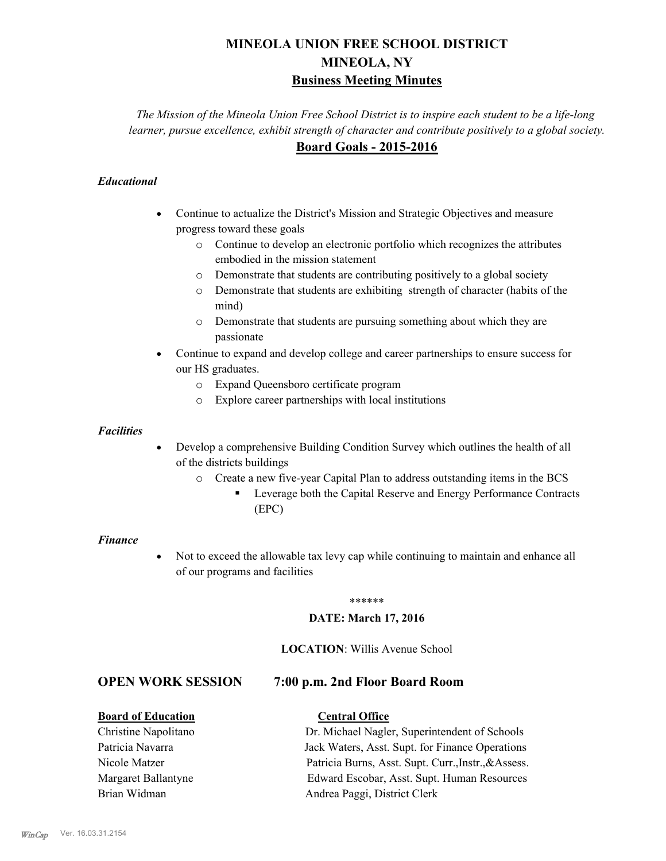# **MINEOLA UNION FREE SCHOOL DISTRICT MINEOLA, NY Business Meeting Minutes**

*The Mission of the Mineola Union Free School District is to inspire each student to be a life-long learner, pursue excellence, exhibit strength of character and contribute positively to a global society.* **Board Goals - 2015-2016**

# *Educational*

- · Continue to actualize the District's Mission and Strategic Objectives and measure progress toward these goals
	- o Continue to develop an electronic portfolio which recognizes the attributes embodied in the mission statement
	- o Demonstrate that students are contributing positively to a global society
	- o Demonstrate that students are exhibiting strength of character (habits of the mind)
	- o Demonstrate that students are pursuing something about which they are passionate
- Continue to expand and develop college and career partnerships to ensure success for our HS graduates.
	- o Expand Queensboro certificate program
	- o Explore career partnerships with local institutions

### *Facilities*

- Develop a comprehensive Building Condition Survey which outlines the health of all of the districts buildings
	- o Create a new five-year Capital Plan to address outstanding items in the BCS
		- § Leverage both the Capital Reserve and Energy Performance Contracts (EPC)

#### *Finance*

• Not to exceed the allowable tax levy cap while continuing to maintain and enhance all of our programs and facilities

#### \*\*\*\*\*\*

#### **DATE: March 17, 2016**

# **LOCATION**: Willis Avenue School

# **OPEN WORK SESSION 7:00 p.m. 2nd Floor Board Room**

# **Board of Education Central Office**

Christine Napolitano Dr. Michael Nagler, Superintendent of Schools Patricia Navarra Jack Waters, Asst. Supt. for Finance Operations Nicole Matzer Patricia Burns, Asst. Supt. Curr.,Instr.,&Assess. Margaret Ballantyne Edward Escobar, Asst. Supt. Human Resources Brian Widman **Andrea Paggi, District Clerk**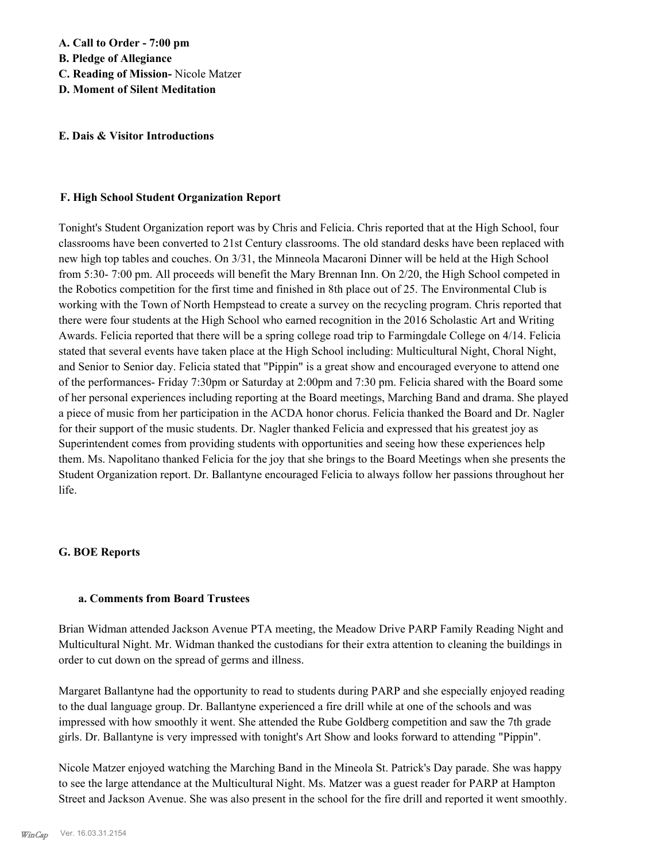**B. Pledge of Allegiance**

**C. Reading of Mission-** Nicole Matzer

**D. Moment of Silent Meditation**

# **E. Dais & Visitor Introductions**

# **F. High School Student Organization Report**

Tonight's Student Organization report was by Chris and Felicia. Chris reported that at the High School, four classrooms have been converted to 21st Century classrooms. The old standard desks have been replaced with new high top tables and couches. On 3/31, the Minneola Macaroni Dinner will be held at the High School from 5:30- 7:00 pm. All proceeds will benefit the Mary Brennan Inn. On 2/20, the High School competed in the Robotics competition for the first time and finished in 8th place out of 25. The Environmental Club is working with the Town of North Hempstead to create a survey on the recycling program. Chris reported that there were four students at the High School who earned recognition in the 2016 Scholastic Art and Writing Awards. Felicia reported that there will be a spring college road trip to Farmingdale College on 4/14. Felicia stated that several events have taken place at the High School including: Multicultural Night, Choral Night, and Senior to Senior day. Felicia stated that "Pippin" is a great show and encouraged everyone to attend one of the performances- Friday 7:30pm or Saturday at 2:00pm and 7:30 pm. Felicia shared with the Board some of her personal experiences including reporting at the Board meetings, Marching Band and drama. She played a piece of music from her participation in the ACDA honor chorus. Felicia thanked the Board and Dr. Nagler for their support of the music students. Dr. Nagler thanked Felicia and expressed that his greatest joy as Superintendent comes from providing students with opportunities and seeing how these experiences help them. Ms. Napolitano thanked Felicia for the joy that she brings to the Board Meetings when she presents the Student Organization report. Dr. Ballantyne encouraged Felicia to always follow her passions throughout her life.

# **G. BOE Reports**

# **a. Comments from Board Trustees**

Brian Widman attended Jackson Avenue PTA meeting, the Meadow Drive PARP Family Reading Night and Multicultural Night. Mr. Widman thanked the custodians for their extra attention to cleaning the buildings in order to cut down on the spread of germs and illness.

Margaret Ballantyne had the opportunity to read to students during PARP and she especially enjoyed reading to the dual language group. Dr. Ballantyne experienced a fire drill while at one of the schools and was impressed with how smoothly it went. She attended the Rube Goldberg competition and saw the 7th grade girls. Dr. Ballantyne is very impressed with tonight's Art Show and looks forward to attending "Pippin".

Nicole Matzer enjoyed watching the Marching Band in the Mineola St. Patrick's Day parade. She was happy to see the large attendance at the Multicultural Night. Ms. Matzer was a guest reader for PARP at Hampton Street and Jackson Avenue. She was also present in the school for the fire drill and reported it went smoothly.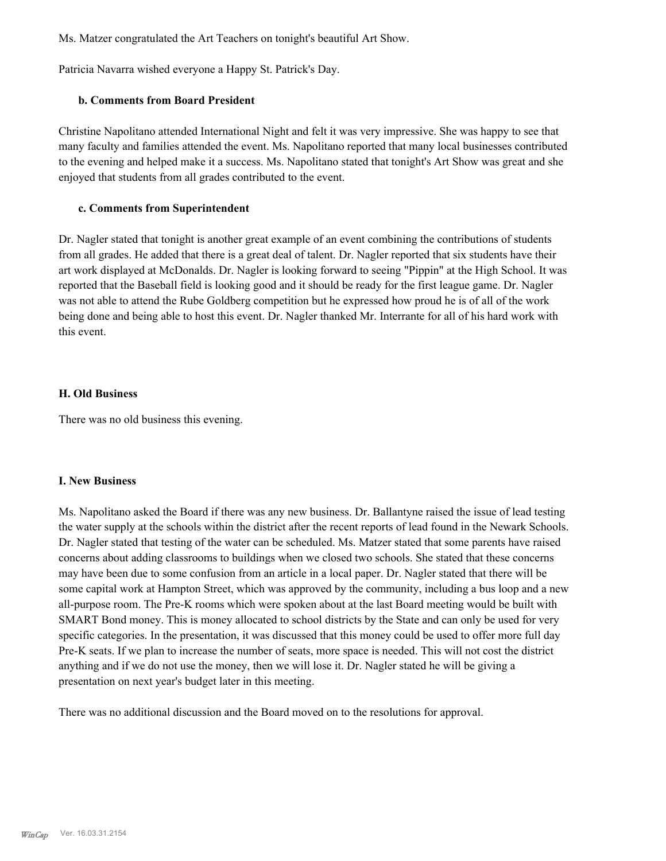Ms. Matzer congratulated the Art Teachers on tonight's beautiful Art Show.

Patricia Navarra wished everyone a Happy St. Patrick's Day.

## **b. Comments from Board President**

Christine Napolitano attended International Night and felt it was very impressive. She was happy to see that many faculty and families attended the event. Ms. Napolitano reported that many local businesses contributed to the evening and helped make it a success. Ms. Napolitano stated that tonight's Art Show was great and she enjoyed that students from all grades contributed to the event.

# **c. Comments from Superintendent**

Dr. Nagler stated that tonight is another great example of an event combining the contributions of students from all grades. He added that there is a great deal of talent. Dr. Nagler reported that six students have their art work displayed at McDonalds. Dr. Nagler is looking forward to seeing "Pippin" at the High School. It was reported that the Baseball field is looking good and it should be ready for the first league game. Dr. Nagler was not able to attend the Rube Goldberg competition but he expressed how proud he is of all of the work being done and being able to host this event. Dr. Nagler thanked Mr. Interrante for all of his hard work with this event.

## **H. Old Business**

There was no old business this evening.

# **I. New Business**

Ms. Napolitano asked the Board if there was any new business. Dr. Ballantyne raised the issue of lead testing the water supply at the schools within the district after the recent reports of lead found in the Newark Schools. Dr. Nagler stated that testing of the water can be scheduled. Ms. Matzer stated that some parents have raised concerns about adding classrooms to buildings when we closed two schools. She stated that these concerns may have been due to some confusion from an article in a local paper. Dr. Nagler stated that there will be some capital work at Hampton Street, which was approved by the community, including a bus loop and a new all-purpose room. The Pre-K rooms which were spoken about at the last Board meeting would be built with SMART Bond money. This is money allocated to school districts by the State and can only be used for very specific categories. In the presentation, it was discussed that this money could be used to offer more full day Pre-K seats. If we plan to increase the number of seats, more space is needed. This will not cost the district anything and if we do not use the money, then we will lose it. Dr. Nagler stated he will be giving a presentation on next year's budget later in this meeting.

There was no additional discussion and the Board moved on to the resolutions for approval.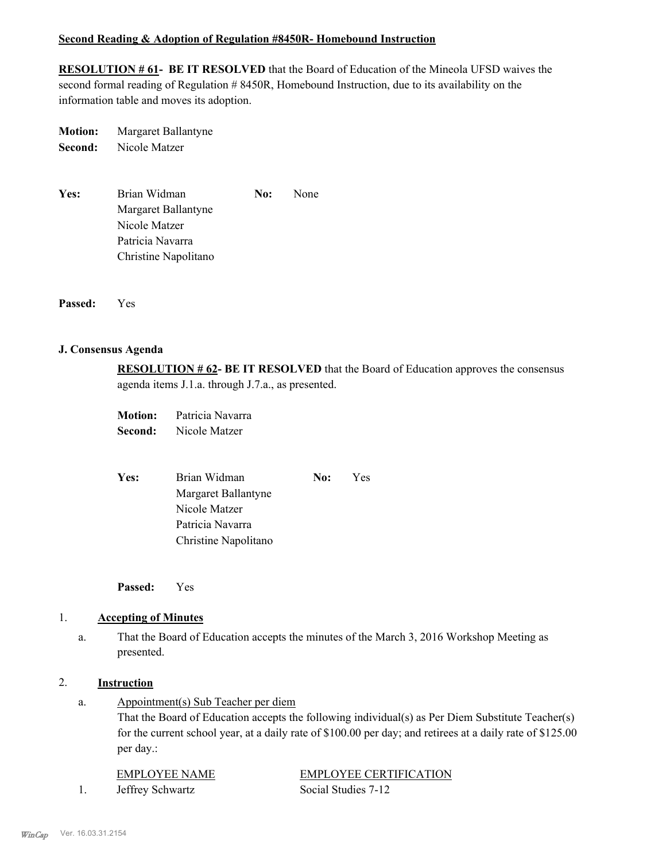# **Second Reading & Adoption of Regulation #8450R- Homebound Instruction**

**RESOLUTION # 61- BE IT RESOLVED** that the Board of Education of the Mineola UFSD waives the second formal reading of Regulation # 8450R, Homebound Instruction, due to its availability on the information table and moves its adoption.

**Motion:** Margaret Ballantyne **Second:** Nicole Matzer

- Yes: Brian Widman **No:** None Margaret Ballantyne Nicole Matzer Patricia Navarra Christine Napolitano
- **Passed:** Yes

### **J. Consensus Agenda**

**RESOLUTION # 62- BE IT RESOLVED** that the Board of Education approves the consensus agenda items J.1.a. through J.7.a., as presented.

| <b>Motion:</b> | Patricia Navarra<br>Nicole Matzer |  |
|----------------|-----------------------------------|--|
| Second:        |                                   |  |

| Yes: | Brian Widman         | No: | Yes |
|------|----------------------|-----|-----|
|      | Margaret Ballantyne  |     |     |
|      | Nicole Matzer        |     |     |
|      | Patricia Navarra     |     |     |
|      | Christine Napolitano |     |     |

**Passed:** Yes

#### 1. **Accepting of Minutes**

That the Board of Education accepts the minutes of the March 3, 2016 Workshop Meeting as presented. a.

#### 2. **Instruction**

Appointment(s) Sub Teacher per diem That the Board of Education accepts the following individual(s) as Per Diem Substitute Teacher(s) for the current school year, at a daily rate of \$100.00 per day; and retirees at a daily rate of \$125.00 per day.: a.

| EMPLOYEE NAME    | <b>EMPLOYEE CERTIFICATION</b> |
|------------------|-------------------------------|
| Jeffrey Schwartz | Social Studies 7-12           |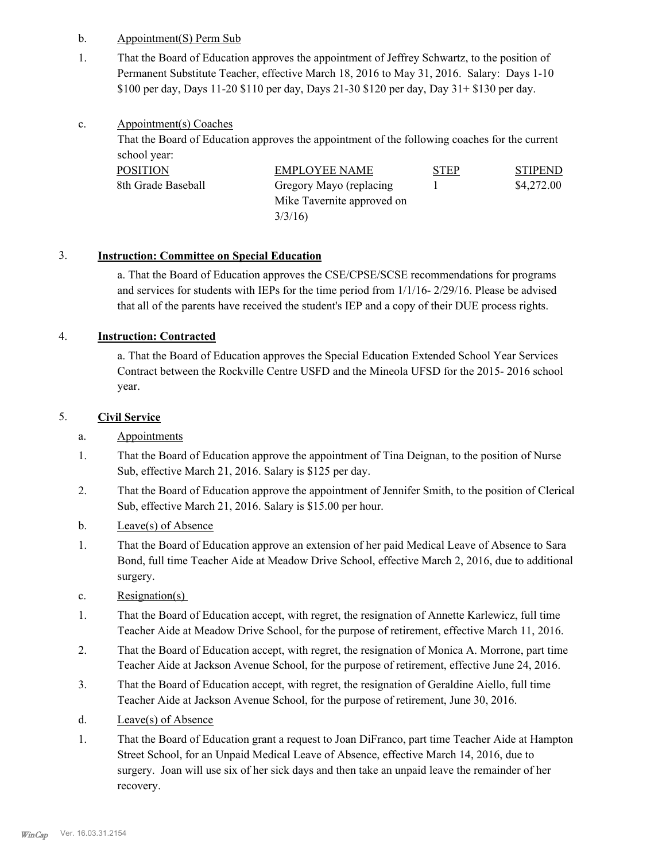- b. Appointment(S) Perm Sub
- That the Board of Education approves the appointment of Jeffrey Schwartz, to the position of Permanent Substitute Teacher, effective March 18, 2016 to May 31, 2016. Salary: Days 1-10 \$100 per day, Days 11-20 \$110 per day, Days 21-30 \$120 per day, Day 31+ \$130 per day. 1.

#### Appointment(s) Coaches c.

That the Board of Education approves the appointment of the following coaches for the current school year:

| POSITION           | EMPLOYEE NAME              | <b>STEP</b> | <b>STIPEND</b> |
|--------------------|----------------------------|-------------|----------------|
| 8th Grade Baseball | Gregory Mayo (replacing    |             | \$4,272.00     |
|                    | Mike Tavernite approved on |             |                |
|                    | 3/3/16                     |             |                |

# 3. **Instruction: Committee on Special Education**

a. That the Board of Education approves the CSE/CPSE/SCSE recommendations for programs and services for students with IEPs for the time period from 1/1/16- 2/29/16. Please be advised that all of the parents have received the student's IEP and a copy of their DUE process rights.

# 4. **Instruction: Contracted**

a. That the Board of Education approves the Special Education Extended School Year Services Contract between the Rockville Centre USFD and the Mineola UFSD for the 2015- 2016 school year.

# 5. **Civil Service**

- a. Appointments
- That the Board of Education approve the appointment of Tina Deignan, to the position of Nurse Sub, effective March 21, 2016. Salary is \$125 per day. 1.
- That the Board of Education approve the appointment of Jennifer Smith, to the position of Clerical Sub, effective March 21, 2016. Salary is \$15.00 per hour. 2.
- b. Leave(s) of Absence
- That the Board of Education approve an extension of her paid Medical Leave of Absence to Sara Bond, full time Teacher Aide at Meadow Drive School, effective March 2, 2016, due to additional surgery. 1.
- c. Resignation(s)
- That the Board of Education accept, with regret, the resignation of Annette Karlewicz, full time Teacher Aide at Meadow Drive School, for the purpose of retirement, effective March 11, 2016. 1.
- That the Board of Education accept, with regret, the resignation of Monica A. Morrone, part time Teacher Aide at Jackson Avenue School, for the purpose of retirement, effective June 24, 2016. 2.
- That the Board of Education accept, with regret, the resignation of Geraldine Aiello, full time Teacher Aide at Jackson Avenue School, for the purpose of retirement, June 30, 2016. 3.
- d. Leave(s) of Absence
- That the Board of Education grant a request to Joan DiFranco, part time Teacher Aide at Hampton Street School, for an Unpaid Medical Leave of Absence, effective March 14, 2016, due to surgery. Joan will use six of her sick days and then take an unpaid leave the remainder of her recovery. 1.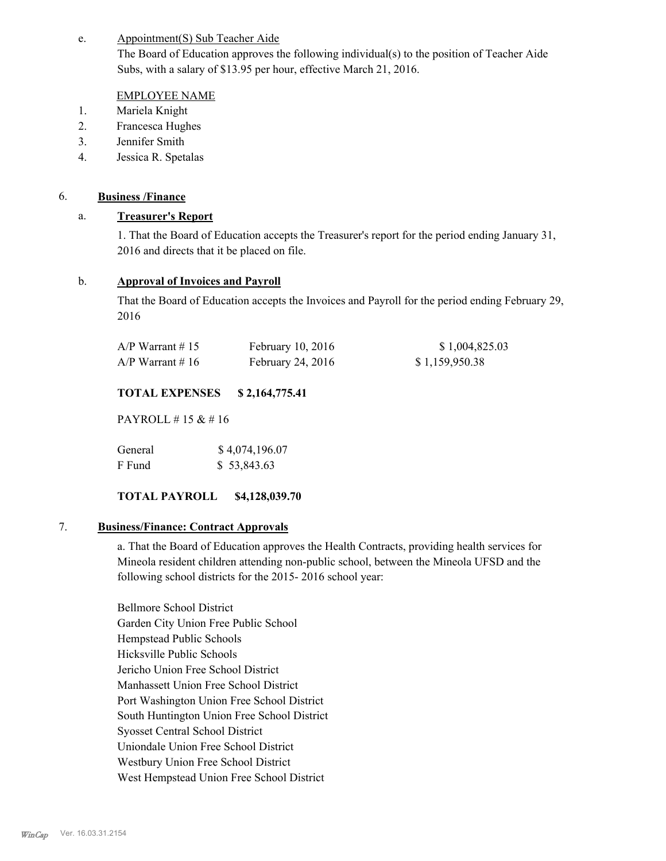#### Appointment(S) Sub Teacher Aide e.

The Board of Education approves the following individual(s) to the position of Teacher Aide Subs, with a salary of \$13.95 per hour, effective March 21, 2016.

# EMPLOYEE NAME

- 1. Mariela Knight
- 2. Francesca Hughes
- 3. Jennifer Smith
- 4. Jessica R. Spetalas

# 6. **Business /Finance**

# a. **Treasurer's Report**

1. That the Board of Education accepts the Treasurer's report for the period ending January 31, 2016 and directs that it be placed on file.

# b. **Approval of Invoices and Payroll**

That the Board of Education accepts the Invoices and Payroll for the period ending February 29, 2016

| $A/P$ Warrant #15 | February 10, 2016   | \$1,004,825.03 |
|-------------------|---------------------|----------------|
| $A/P$ Warrant #16 | February 24, $2016$ | \$1,159,950.38 |

# **TOTAL EXPENSES \$ 2,164,775.41**

PAYROLL # 15 & # 16

| General | \$4,074,196.07 |
|---------|----------------|
| F Fund  | \$53,843.63    |

# **TOTAL PAYROLL \$4,128,039.70**

# 7. **Business/Finance: Contract Approvals**

a. That the Board of Education approves the Health Contracts, providing health services for Mineola resident children attending non-public school, between the Mineola UFSD and the following school districts for the 2015- 2016 school year:

Bellmore School District Garden City Union Free Public School Hempstead Public Schools Hicksville Public Schools Jericho Union Free School District Manhassett Union Free School District Port Washington Union Free School District South Huntington Union Free School District Syosset Central School District Uniondale Union Free School District Westbury Union Free School District West Hempstead Union Free School District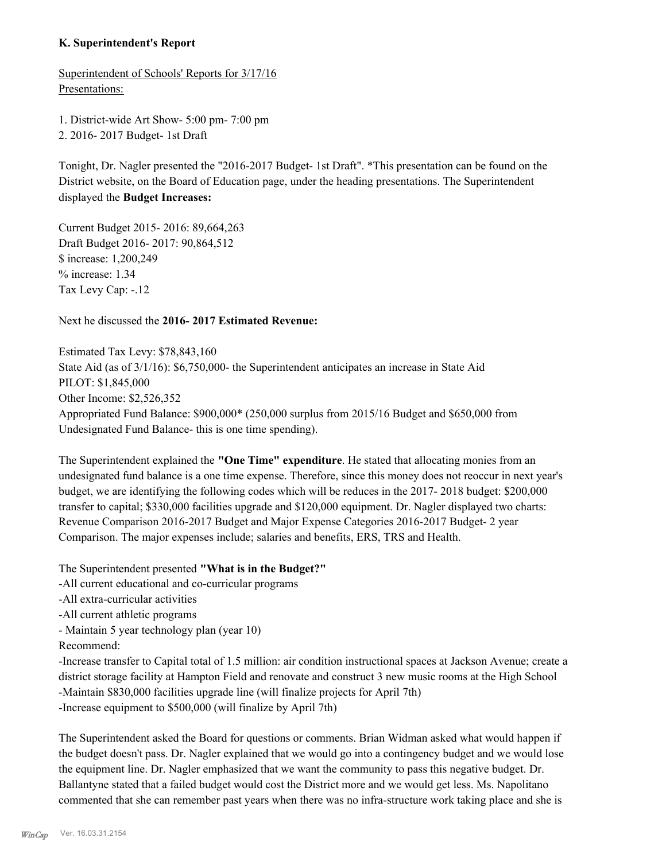# **K. Superintendent's Report**

Superintendent of Schools' Reports for 3/17/16 Presentations:

1. District-wide Art Show- 5:00 pm- 7:00 pm 2. 2016- 2017 Budget- 1st Draft

Tonight, Dr. Nagler presented the "2016-2017 Budget- 1st Draft". \*This presentation can be found on the District website, on the Board of Education page, under the heading presentations. The Superintendent displayed the **Budget Increases:**

Current Budget 2015- 2016: 89,664,263 Draft Budget 2016- 2017: 90,864,512 \$ increase: 1,200,249 % increase: 1.34 Tax Levy Cap: -.12

Next he discussed the **2016- 2017 Estimated Revenue:**

Estimated Tax Levy: \$78,843,160 State Aid (as of 3/1/16): \$6,750,000- the Superintendent anticipates an increase in State Aid PILOT: \$1,845,000 Other Income: \$2,526,352 Appropriated Fund Balance: \$900,000\* (250,000 surplus from 2015/16 Budget and \$650,000 from Undesignated Fund Balance- this is one time spending).

The Superintendent explained the **"One Time" expenditure**. He stated that allocating monies from an undesignated fund balance is a one time expense. Therefore, since this money does not reoccur in next year's budget, we are identifying the following codes which will be reduces in the 2017- 2018 budget: \$200,000 transfer to capital; \$330,000 facilities upgrade and \$120,000 equipment. Dr. Nagler displayed two charts: Revenue Comparison 2016-2017 Budget and Major Expense Categories 2016-2017 Budget- 2 year Comparison. The major expenses include; salaries and benefits, ERS, TRS and Health.

The Superintendent presented **"What is in the Budget?"**

-All current educational and co-curricular programs

-All extra-curricular activities

-All current athletic programs

- Maintain 5 year technology plan (year 10)

Recommend:

-Increase transfer to Capital total of 1.5 million: air condition instructional spaces at Jackson Avenue; create a district storage facility at Hampton Field and renovate and construct 3 new music rooms at the High School -Maintain \$830,000 facilities upgrade line (will finalize projects for April 7th)

-Increase equipment to \$500,000 (will finalize by April 7th)

The Superintendent asked the Board for questions or comments. Brian Widman asked what would happen if the budget doesn't pass. Dr. Nagler explained that we would go into a contingency budget and we would lose the equipment line. Dr. Nagler emphasized that we want the community to pass this negative budget. Dr. Ballantyne stated that a failed budget would cost the District more and we would get less. Ms. Napolitano commented that she can remember past years when there was no infra-structure work taking place and she is